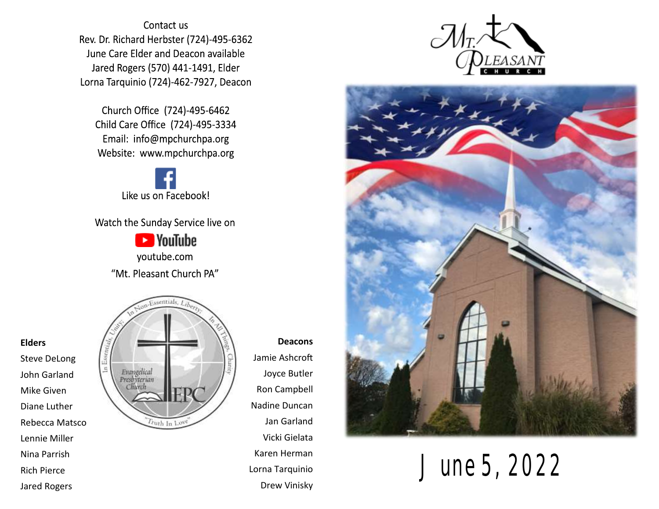Contact us Rev. Dr. Richard Herbster (724)-495-6362 June Care Elder and Deacon available Jared Rogers (570) 441-1491, Elder Lorna Tarquinio (724)-462-7927, Deacon

Church Office (724)-495-6462 Child Care Office (724)-495-3334 Email: info@mpchurchpa.org Website: www.mpchurchpa.org

Like us on Facebook!

Watch the Sunday Service live on

**Ex** YouTube youtube.com "Mt. Pleasant Church PA"



**Deacons** Jamie Ashcroft Joyce Butler Ron Campbell Nadine Duncan Jan Garland Vicki Gielata Karen Herman Lorna Tarquinio Drew Vinisky





June 5, 2022

#### **Elders**

Steve DeLong John Garland Mike Given Diane Luther Rebecca Matsco Lennie Miller Nina Parrish Rich Pierce Jared Rogers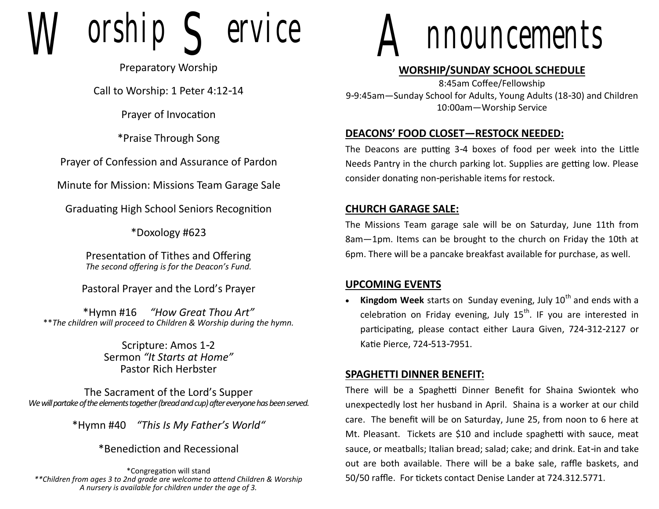$orship$   $\leq$  ervice

Preparatory Worship

Call to Worship: 1 Peter 4:12-14

Prayer of Invocation

\*Praise Through Song

Prayer of Confession and Assurance of Pardon

Minute for Mission: Missions Team Garage Sale

Graduating High School Seniors Recognition

\*Doxology #623

Presentation of Tithes and Offering *The second offering is for the Deacon's Fund.*

Pastoral Prayer and the Lord's Prayer

\*Hymn #16 *"How Great Thou Art"* \*\**The children will proceed to Children & Worship during the hymn.*

> Scripture: Amos 1-2 Sermon *"It Starts at Home"* Pastor Rich Herbster

The Sacrament of the Lord's Supper *We will partake of the elements together (bread and cup) after everyone has been served.*

\*Hymn #40 *"This Is My Father's World"*

\*Benediction and Recessional

\*Congregation will stand *\*\*Children from ages 3 to 2nd grade are welcome to attend Children & Worship A nursery is available for children under the age of 3.*



#### **WORSHIP/SUNDAY SCHOOL SCHEDULE**

8:45am Coffee/Fellowship 9-9:45am—Sunday School for Adults, Young Adults (18-30) and Children 10:00am—Worship Service

## **DEACONS' FOOD CLOSET—RESTOCK NEEDED:**

The Deacons are putting 3-4 boxes of food per week into the Little Needs Pantry in the church parking lot. Supplies are getting low. Please consider donating non-perishable items for restock.

## **CHURCH GARAGE SALE:**

The Missions Team garage sale will be on Saturday, June 11th from 8am—1pm. Items can be brought to the church on Friday the 10th at 6pm. There will be a pancake breakfast available for purchase, as well.

#### **UPCOMING EVENTS**

• **Kingdom Week** starts on Sunday evening, July 10<sup>th</sup> and ends with a celebration on Friday evening, July  $15<sup>th</sup>$ . IF you are interested in participating, please contact either Laura Given, 724-312-2127 or Katie Pierce, 724-513-7951.

## **SPAGHETTI DINNER BENEFIT:**

There will be a Spaghetti Dinner Benefit for Shaina Swiontek who unexpectedly lost her husband in April. Shaina is a worker at our child care. The benefit will be on Saturday, June 25, from noon to 6 here at Mt. Pleasant. Tickets are \$10 and include spaghetti with sauce, meat sauce, or meatballs; Italian bread; salad; cake; and drink. Eat-in and take out are both available. There will be a bake sale, raffle baskets, and 50/50 raffle. For tickets contact Denise Lander at 724.312.5771.